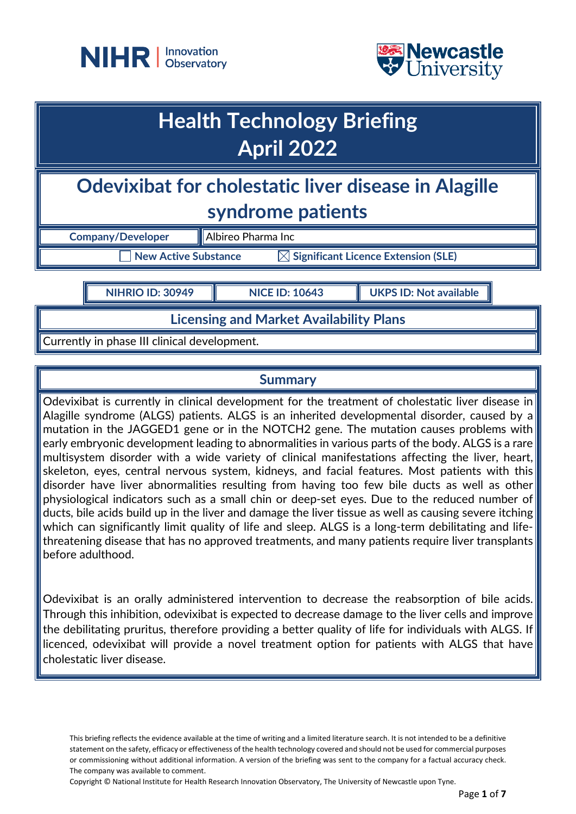



# **Health Technology Briefing April 2022**

# **Odevixibat for cholestatic liver disease in Alagille syndrome patients**

| <b>Company/Developer</b> | $\parallel$ Albireo Pharma Inc                  |  |
|--------------------------|-------------------------------------------------|--|
| New Active Substance     | $\boxtimes$ Significant Licence Extension (SLE) |  |

**NIHRIO ID: 30949 NICE ID: 10643 UKPS ID: Not available**

**Licensing and Market Availability Plans**

Currently in phase III clinical development.

## **Summary**

Odevixibat is currently in clinical development for the treatment of cholestatic liver disease in Alagille syndrome (ALGS) patients. ALGS is an inherited developmental disorder, caused by a mutation in the JAGGED1 gene or in the NOTCH2 gene. The mutation causes problems with early embryonic development leading to abnormalities in various parts of the body. ALGS is a rare multisystem disorder with a wide variety of clinical manifestations affecting the liver, heart, skeleton, eyes, central nervous system, kidneys, and facial features. Most patients with this disorder have liver abnormalities resulting from having too few bile ducts as well as other physiological indicators such as a small chin or deep-set eyes. Due to the reduced number of ducts, bile acids build up in the liver and damage the liver tissue as well as causing severe itching which can significantly limit quality of life and sleep. ALGS is a long-term debilitating and lifethreatening disease that has no approved treatments, and many patients require liver transplants before adulthood.

Odevixibat is an orally administered intervention to decrease the reabsorption of bile acids. Through this inhibition, odevixibat is expected to decrease damage to the liver cells and improve the debilitating pruritus, therefore providing a better quality of life for individuals with ALGS. If licenced, odevixibat will provide a novel treatment option for patients with ALGS that have cholestatic liver disease.

This briefing reflects the evidence available at the time of writing and a limited literature search. It is not intended to be a definitive statement on the safety, efficacy or effectiveness of the health technology covered and should not be used for commercial purposes or commissioning without additional information. A version of the briefing was sent to the company for a factual accuracy check. The company was available to comment.

Copyright © National Institute for Health Research Innovation Observatory, The University of Newcastle upon Tyne.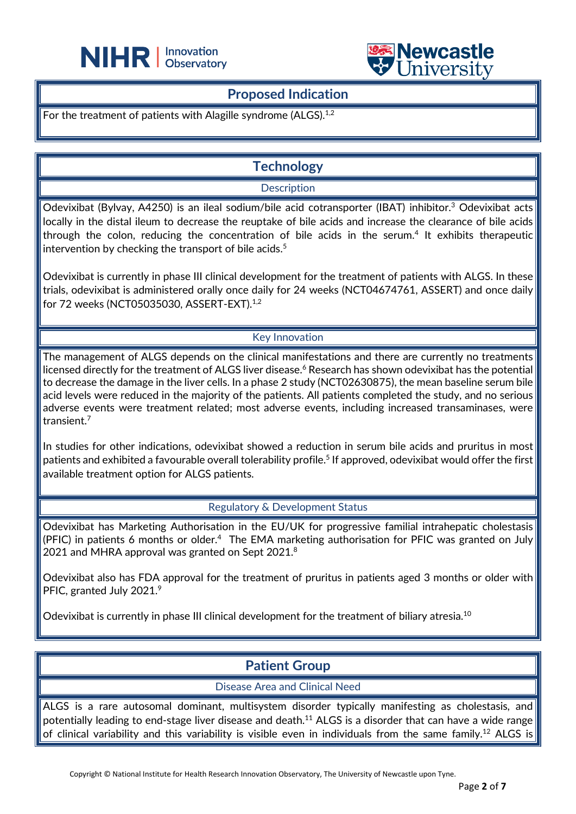



#### **Proposed Indication**

L

For the treatment of patients with Alagille syndrome (ALGS).<sup>1,2</sup>

# **Technology**

#### **Description**

Odevixibat (Bylvay, A4250) is an ileal sodium/bile acid cotransporter (IBAT) inhibitor.<sup>3</sup> Odevixibat acts locally in the distal ileum to decrease the reuptake of bile acids and increase the clearance of bile acids through the colon, reducing the concentration of bile acids in the serum. <sup>4</sup> It exhibits therapeutic intervention by checking the transport of bile acids. $5$ 

Odevixibat is currently in phase III clinical development for the treatment of patients with ALGS. In these trials, odevixibat is administered orally once daily for 24 weeks (NCT04674761, ASSERT) and once daily for 72 weeks (NCT05035030, ASSERT-EXT).<sup>1,2</sup>

#### Key Innovation

The management of ALGS depends on the clinical manifestations and there are currently no treatments licensed directly for the treatment of ALGS liver disease. <sup>6</sup> Research has shown odevixibat has the potential to decrease the damage in the liver cells. In a phase 2 study (NCT02630875), the mean baseline serum bile acid levels were reduced in the majority of the patients. All patients completed the study, and no serious adverse events were treatment related; most adverse events, including increased transaminases, were transient. 7

In studies for other indications, odevixibat showed a reduction in serum bile acids and pruritus in most patients and exhibited a favourable overall tolerability profile. <sup>5</sup> If approved, odevixibat would offer the first available treatment option for ALGS patients.

Regulatory & Development Status

Odevixibat has Marketing Authorisation in the EU/UK for progressive familial intrahepatic cholestasis (PFIC) in patients 6 months or older. 4 The EMA marketing authorisation for PFIC was granted on July 2021 and MHRA approval was granted on Sept 2021.<sup>8</sup>

Odevixibat also has FDA approval for the treatment of pruritus in patients aged 3 months or older with PFIC, granted July 2021.9

Odevixibat is currently in phase III clinical development for the treatment of biliary atresia.<sup>10</sup>

### **Patient Group**

Disease Area and Clinical Need

ALGS is a rare autosomal dominant, multisystem disorder typically manifesting as cholestasis, and potentially leading to end-stage liver disease and death.<sup>11</sup> ALGS is a disorder that can have a wide range of clinical variability and this variability is visible even in individuals from the same family.<sup>12</sup> ALGS is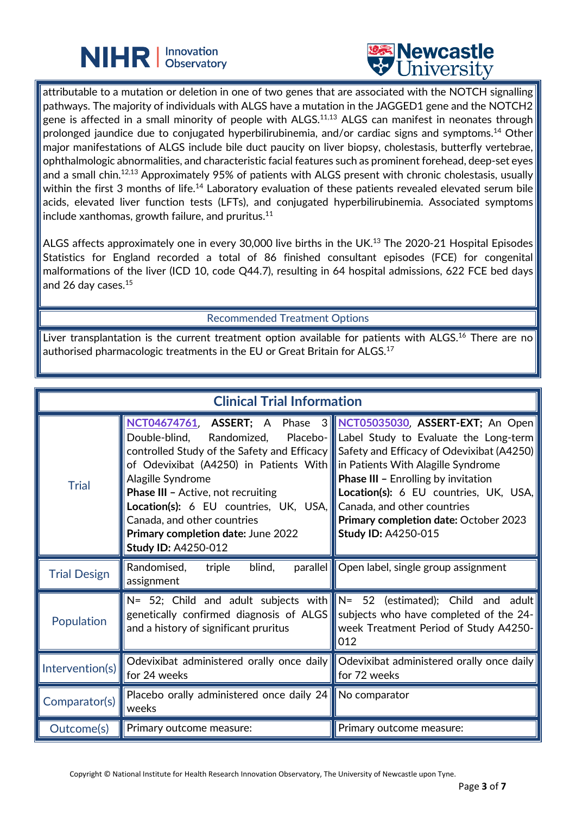



attributable to a mutation or deletion in one of two genes that are associated with the NOTCH signalling pathways. The majority of individuals with ALGS have a mutation in the JAGGED1 gene and the NOTCH2 gene is affected in a small minority of people with ALGS.<sup>11,13</sup> ALGS can manifest in neonates through prolonged jaundice due to conjugated hyperbilirubinemia, and/or cardiac signs and symptoms.14 Other major manifestations of ALGS include bile duct paucity on liver biopsy, cholestasis, butterfly vertebrae, ophthalmologic abnormalities, and characteristic facial features such as prominent forehead, deep-set eyes and a small chin. 12,13 Approximately 95% of patients with ALGS present with chronic cholestasis, usually within the first 3 months of life.<sup>14</sup> Laboratory evaluation of these patients revealed elevated serum bile acids, elevated liver function tests (LFTs), and conjugated hyperbilirubinemia. Associated symptoms include xanthomas, growth failure, and pruritus. $11$ 

L

ALGS affects approximately one in every 30,000 live births in the UK.<sup>13</sup> The 2020-21 Hospital Episodes Statistics for England recorded a total of 86 finished consultant episodes (FCE) for congenital malformations of the liver (ICD 10, code Q44.7), resulting in 64 hospital admissions, 622 FCE bed days and 26 day cases.15

Recommended Treatment Options

Liver transplantation is the current treatment option available for patients with ALGS.<sup>16</sup> There are no authorised pharmacologic treatments in the EU or Great Britain for ALGS. $^{\rm 17}$ 

| <b>Clinical Trial Information</b> |                                                                                                                                                                                                                                                                                                                                                                                                                                              |                                                                                                                                                                                                                                                                                               |  |
|-----------------------------------|----------------------------------------------------------------------------------------------------------------------------------------------------------------------------------------------------------------------------------------------------------------------------------------------------------------------------------------------------------------------------------------------------------------------------------------------|-----------------------------------------------------------------------------------------------------------------------------------------------------------------------------------------------------------------------------------------------------------------------------------------------|--|
| <b>Trial</b>                      | <b>NCT04674761, ASSERT</b> ; A Phase 3 NCT05035030, ASSERT-EXT; An Open<br>Double-blind,<br>controlled Study of the Safety and Efficacy    Safety and Efficacy of Odevixibat (A4250)<br>of Odevixibat (A4250) in Patients With<br>Alagille Syndrome<br><b>Phase III - Active, not recruiting</b><br>Location(s): 6 EU countries, UK, USA,<br>Canada, and other countries<br>Primary completion date: June 2022<br><b>Study ID: A4250-012</b> | Randomized, Placebo- Label Study to Evaluate the Long-term<br>in Patients With Alagille Syndrome<br><b>Phase III - Enrolling by invitation</b><br>Location(s): 6 EU countries, UK, USA,<br>Canada, and other countries<br>Primary completion date: October 2023<br><b>Study ID: A4250-015</b> |  |
| <b>Trial Design</b>               | Randomised,<br>blind,<br>triple<br>parallel<br>assignment                                                                                                                                                                                                                                                                                                                                                                                    | Open label, single group assignment                                                                                                                                                                                                                                                           |  |
| Population                        | $N = 52$ ; Child and adult subjects with $N = 52$ (estimated); Child and adult<br>genetically confirmed diagnosis of ALGS<br>and a history of significant pruritus                                                                                                                                                                                                                                                                           | subjects who have completed of the 24-<br>week Treatment Period of Study A4250-<br>012                                                                                                                                                                                                        |  |
| Intervention(s)                   | Odevixibat administered orally once daily Odevixibat administered orally once daily<br>for 24 weeks                                                                                                                                                                                                                                                                                                                                          | for 72 weeks                                                                                                                                                                                                                                                                                  |  |
| Comparator(s)                     | Placebo orally administered once daily 24 No comparator<br>weeks                                                                                                                                                                                                                                                                                                                                                                             |                                                                                                                                                                                                                                                                                               |  |
| Outcome(s)                        | Primary outcome measure:                                                                                                                                                                                                                                                                                                                                                                                                                     | Primary outcome measure:                                                                                                                                                                                                                                                                      |  |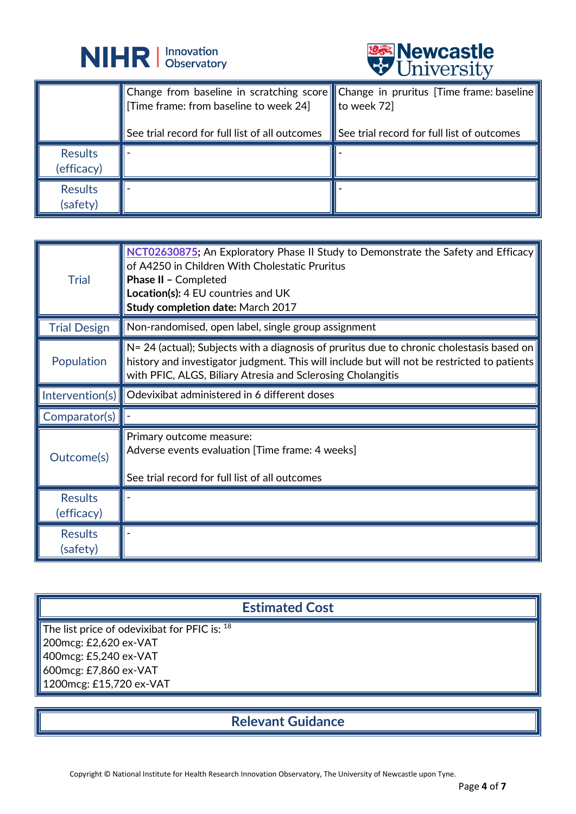



|                              |                                                                                                                                    | $\triangledown$ OIIIV CLOIU                     |
|------------------------------|------------------------------------------------------------------------------------------------------------------------------------|-------------------------------------------------|
|                              | Change from baseline in scratching score Change in pruritus [Time frame: baseline<br>$\mid$ [Time frame: from baseline to week 24] | to week 72]                                     |
|                              | See trial record for full list of all outcomes                                                                                     | $\,$ See trial record for full list of outcomes |
| <b>Results</b><br>(efficacy) |                                                                                                                                    |                                                 |
| <b>Results</b><br>(safety)   |                                                                                                                                    |                                                 |

| <b>Trial</b>                 | <b>NCT02630875;</b> An Exploratory Phase II Study to Demonstrate the Safety and Efficacy<br>of A4250 in Children With Cholestatic Pruritus<br>Phase II - Completed<br>Location(s): 4 EU countries and UK<br>Study completion date: March 2017           |
|------------------------------|---------------------------------------------------------------------------------------------------------------------------------------------------------------------------------------------------------------------------------------------------------|
| <b>Trial Design</b>          | Non-randomised, open label, single group assignment                                                                                                                                                                                                     |
| Population                   | N= 24 (actual); Subjects with a diagnosis of pruritus due to chronic cholestasis based on<br>history and investigator judgment. This will include but will not be restricted to patients<br>with PFIC, ALGS, Biliary Atresia and Sclerosing Cholangitis |
| Intervention(s)              | Odevixibat administered in 6 different doses                                                                                                                                                                                                            |
| Comparator(s)                |                                                                                                                                                                                                                                                         |
|                              | Primary outcome measure:<br>Adverse events evaluation [Time frame: 4 weeks]                                                                                                                                                                             |
| Outcome(s)                   | See trial record for full list of all outcomes                                                                                                                                                                                                          |
| <b>Results</b><br>(efficacy) |                                                                                                                                                                                                                                                         |

## **Estimated Cost**

The list price of odevixibat for PFIC is: 18 200mcg: £2,620 ex-VAT 400mcg: £5,240 ex-VAT 600mcg: £7,860 ex-VAT 1200mcg: £15,720 ex-VAT

**Relevant Guidance**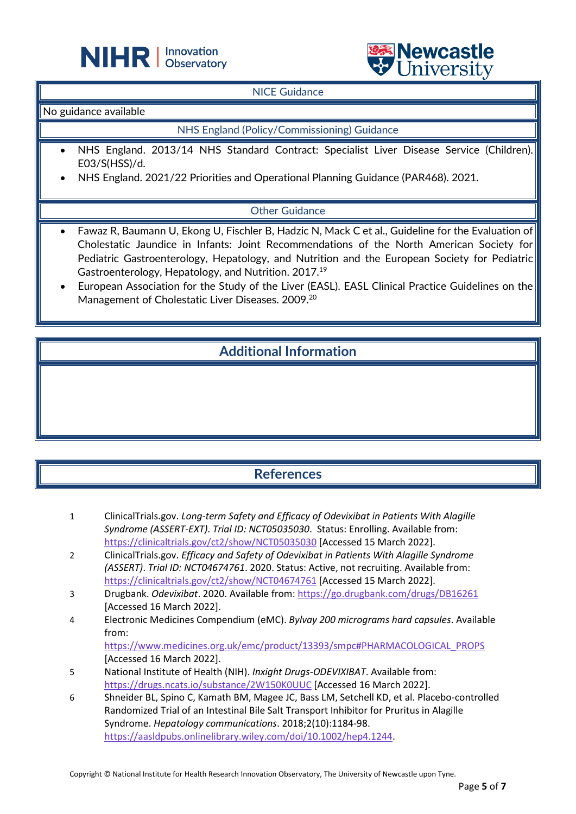



#### NICE Guidance

L

No guidance available

#### NHS England (Policy/Commissioning) Guidance

- NHS England. 2013/14 NHS Standard Contract: Specialist Liver Disease Service (Children). E03/S(HSS)/d.
- NHS England. 2021/22 Priorities and Operational Planning Guidance (PAR468). 2021.

#### Other Guidance

- Fawaz R, Baumann U, Ekong U, Fischler B, Hadzic N, Mack C et al., Guideline for the Evaluation of Cholestatic Jaundice in Infants: Joint Recommendations of the North American Society for Pediatric Gastroenterology, Hepatology, and Nutrition and the European Society for Pediatric Gastroenterology, Hepatology, and Nutrition. 2017.19
- European Association for the Study of the Liver (EASL). EASL Clinical Practice Guidelines on the Management of Cholestatic Liver Diseases. 2009.<sup>20</sup>

# **Additional Information**

### **References**

- 1 ClinicalTrials.gov. *Long-term Safety and Efficacy of Odevixibat in Patients With Alagille Syndrome (ASSERT-EXT)*. *Trial ID: NCT05035030*. Status: Enrolling. Available from: <https://clinicaltrials.gov/ct2/show/NCT05035030> [Accessed 15 March 2022].
- 2 ClinicalTrials.gov. *Efficacy and Safety of Odevixibat in Patients With Alagille Syndrome (ASSERT)*. *Trial ID: NCT04674761*. 2020. Status: Active, not recruiting. Available from: <https://clinicaltrials.gov/ct2/show/NCT04674761> [Accessed 15 March 2022].
- 3 Drugbank. *Odevixibat*. 2020. Available from[: https://go.drugbank.com/drugs/DB16261](https://go.drugbank.com/drugs/DB16261) [Accessed 16 March 2022].
- 4 Electronic Medicines Compendium (eMC). *Bylvay 200 micrograms hard capsules*. Available from:

[https://www.medicines.org.uk/emc/product/13393/smpc#PHARMACOLOGICAL\\_PROPS](https://www.medicines.org.uk/emc/product/13393/smpc#PHARMACOLOGICAL_PROPS) [Accessed 16 March 2022].

- 5 National Institute of Health (NIH). *Inxight Drugs-ODEVIXIBAT*. Available from: <https://drugs.ncats.io/substance/2W150K0UUC> [Accessed 16 March 2022].
- 6 Shneider BL, Spino C, Kamath BM, Magee JC, Bass LM, Setchell KD, et al. Placebo‐controlled Randomized Trial of an Intestinal Bile Salt Transport Inhibitor for Pruritus in Alagille Syndrome. *Hepatology communications*. 2018;2(10):1184-98. [https://aasldpubs.onlinelibrary.wiley.com/doi/10.1002/hep4.1244.](https://aasldpubs.onlinelibrary.wiley.com/doi/10.1002/hep4.1244)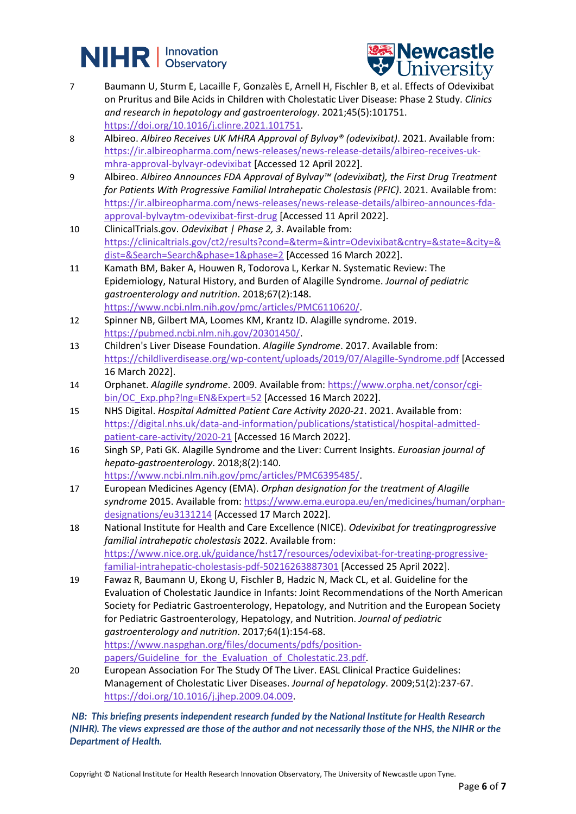# **NIHR** | Innovation



- 7 Baumann U, Sturm E, Lacaille F, Gonzalès E, Arnell H, Fischler B, et al. Effects of Odevixibat on Pruritus and Bile Acids in Children with Cholestatic Liver Disease: Phase 2 Study. *Clinics and research in hepatology and gastroenterology*. 2021;45(5):101751. [https://doi.org/10.1016/j.clinre.2021.101751.](https://doi.org/10.1016/j.clinre.2021.101751)
- 8 Albireo. *Albireo Receives UK MHRA Approval of Bylvay® (odevixibat)*. 2021. Available from: [https://ir.albireopharma.com/news-releases/news-release-details/albireo-receives-uk](https://ir.albireopharma.com/news-releases/news-release-details/albireo-receives-uk-mhra-approval-bylvayr-odevixibat)[mhra-approval-bylvayr-odevixibat](https://ir.albireopharma.com/news-releases/news-release-details/albireo-receives-uk-mhra-approval-bylvayr-odevixibat) [Accessed 12 April 2022].
- 9 Albireo. *Albireo Announces FDA Approval of Bylvay™ (odevixibat), the First Drug Treatment for Patients With Progressive Familial Intrahepatic Cholestasis (PFIC)*. 2021. Available from: [https://ir.albireopharma.com/news-releases/news-release-details/albireo-announces-fda](https://ir.albireopharma.com/news-releases/news-release-details/albireo-announces-fda-approval-bylvaytm-odevixibat-first-drug)[approval-bylvaytm-odevixibat-first-drug](https://ir.albireopharma.com/news-releases/news-release-details/albireo-announces-fda-approval-bylvaytm-odevixibat-first-drug) [Accessed 11 April 2022].
- 10 ClinicalTrials.gov. *Odevixibat | Phase 2, 3*. Available from: [https://clinicaltrials.gov/ct2/results?cond=&term=&intr=Odevixibat&cntry=&state=&city=&](https://clinicaltrials.gov/ct2/results?cond=&term=&intr=Odevixibat&cntry=&state=&city=&dist=&Search=Search&phase=1&phase=2) [dist=&Search=Search&phase=1&phase=2](https://clinicaltrials.gov/ct2/results?cond=&term=&intr=Odevixibat&cntry=&state=&city=&dist=&Search=Search&phase=1&phase=2) [Accessed 16 March 2022].
- 11 Kamath BM, Baker A, Houwen R, Todorova L, Kerkar N. Systematic Review: The Epidemiology, Natural History, and Burden of Alagille Syndrome. *Journal of pediatric gastroenterology and nutrition*. 2018;67(2):148. [https://www.ncbi.nlm.nih.gov/pmc/articles/PMC6110620/.](https://www.ncbi.nlm.nih.gov/pmc/articles/PMC6110620/)
- 12 Spinner NB, Gilbert MA, Loomes KM, Krantz ID. Alagille syndrome. 2019. [https://pubmed.ncbi.nlm.nih.gov/20301450/.](https://pubmed.ncbi.nlm.nih.gov/20301450/)
- 13 Children's Liver Disease Foundation. *Alagille Syndrome*. 2017. Available from: <https://childliverdisease.org/wp-content/uploads/2019/07/Alagille-Syndrome.pdf> [Accessed 16 March 2022].
- 14 Orphanet. *Alagille syndrome*. 2009. Available from: [https://www.orpha.net/consor/cgi](https://www.orpha.net/consor/cgi-bin/OC_Exp.php?lng=EN&Expert=52)[bin/OC\\_Exp.php?lng=EN&Expert=52](https://www.orpha.net/consor/cgi-bin/OC_Exp.php?lng=EN&Expert=52) [Accessed 16 March 2022].
- 15 NHS Digital. *Hospital Admitted Patient Care Activity 2020-21*. 2021. Available from: [https://digital.nhs.uk/data-and-information/publications/statistical/hospital-admitted](https://digital.nhs.uk/data-and-information/publications/statistical/hospital-admitted-patient-care-activity/2020-21)[patient-care-activity/2020-21](https://digital.nhs.uk/data-and-information/publications/statistical/hospital-admitted-patient-care-activity/2020-21) [Accessed 16 March 2022].
- 16 Singh SP, Pati GK. Alagille Syndrome and the Liver: Current Insights. *Euroasian journal of hepato-gastroenterology*. 2018;8(2):140. [https://www.ncbi.nlm.nih.gov/pmc/articles/PMC6395485/.](https://www.ncbi.nlm.nih.gov/pmc/articles/PMC6395485/)
- 17 European Medicines Agency (EMA). *Orphan designation for the treatment of Alagille syndrome* 2015. Available from: [https://www.ema.europa.eu/en/medicines/human/orphan](https://www.ema.europa.eu/en/medicines/human/orphan-designations/eu3131214)[designations/eu3131214](https://www.ema.europa.eu/en/medicines/human/orphan-designations/eu3131214) [Accessed 17 March 2022].
- 18 National Institute for Health and Care Excellence (NICE). *Odevixibat for treatingprogressive familial intrahepatic cholestasis* 2022. Available from: [https://www.nice.org.uk/guidance/hst17/resources/odevixibat-for-treating-progressive](https://www.nice.org.uk/guidance/hst17/resources/odevixibat-for-treating-progressive-familial-intrahepatic-cholestasis-pdf-50216263887301)[familial-intrahepatic-cholestasis-pdf-50216263887301](https://www.nice.org.uk/guidance/hst17/resources/odevixibat-for-treating-progressive-familial-intrahepatic-cholestasis-pdf-50216263887301) [Accessed 25 April 2022].
- 19 Fawaz R, Baumann U, Ekong U, Fischler B, Hadzic N, Mack CL, et al. Guideline for the Evaluation of Cholestatic Jaundice in Infants: Joint Recommendations of the North American Society for Pediatric Gastroenterology, Hepatology, and Nutrition and the European Society for Pediatric Gastroenterology, Hepatology, and Nutrition. *Journal of pediatric gastroenterology and nutrition*. 2017;64(1):154-68. [https://www.naspghan.org/files/documents/pdfs/position](https://www.naspghan.org/files/documents/pdfs/position-papers/Guideline_for_the_Evaluation_of_Cholestatic.23.pdf)papers/Guideline for the Evaluation of Cholestatic.23.pdf.
- 20 European Association For The Study Of The Liver. EASL Clinical Practice Guidelines: Management of Cholestatic Liver Diseases. *Journal of hepatology*. 2009;51(2):237-67. [https://doi.org/10.1016/j.jhep.2009.04.009.](https://doi.org/10.1016/j.jhep.2009.04.009)

*NB: This briefing presents independent research funded by the National Institute for Health Research (NIHR). The views expressed are those of the author and not necessarily those of the NHS, the NIHR or the Department of Health.*

Copyright © National Institute for Health Research Innovation Observatory, The University of Newcastle upon Tyne.